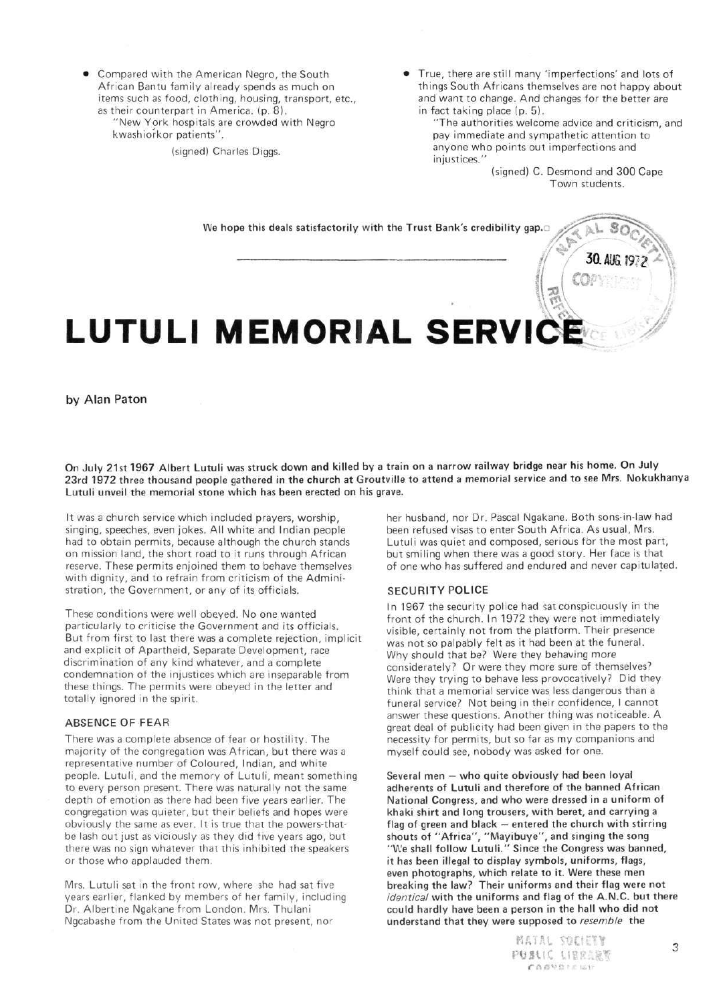• Compared with the American Negro, the South African Bantu family already spends as much on items such as food, clothing, housing, transport, etc., as their counterpart in America, (p. 8).

"New York hospitals are crowded with Negro kwashiorkor patients".

(signed) Charles Diggs.

• True, there are still many 'imperfections' and lots of things South Africans themselves are not happy about and want to change. And changes for the better are in fact taking place (p. 5).

"The authorities welcome advice and criticism, and pay immediate and sympathetic attention to anyone who points out imperfections and injustices."

(signed) C. Desmond and 300 Cape Town students.



by Alan Paton

**On July 21st 1967 Albert Lutuli was struck down and killed by a train on a narrow railway bridge near his home. On July 23rd 1972 three thousand people gathered in the church at Groutville to attend a memorial service and to see Mrs. Nokukhanya Lutuli unveil the memorial stone which has been erected on his grave.** 

It was a church service which included prayers, worship, singing, speeches, even jokes. All white and Indian people had to obtain permits, because although the church stands on mission land, the short road to it runs through African reserve. These permits enjoined them to behave themselves with dignity, and to refrain from criticism of the Administration, the Government, or any of its officials.

These conditions were well obeyed. No one wanted particularly to criticise the Government and its officials. But from first to last there was a complete rejection, implicit and explicit of Apartheid, Separate Development, race discrimination of any kind whatever, and a complete condemnation of the injustices which are inseparable from these things. The permits were obeyed in the letter and totally ignored in the spirit.

## **ABSENCE OF FEAR**

There was a complete absence of fear or hostility. The majority of the congregation was African, but there was a representative number of Coloured, Indian, and white people. Lutuli, and the memory of Lutuli, meant something to every person present. There was naturally not the same depth of emotion as there had been five years earlier. The congregation was quieter, but their beliefs and hopes were obviously the same as ever. It is true that the powers-thatbe lash out just as viciously as they did five years ago, but there was no sign whatever that this inhibited the speakers or those who applauded them.

Mrs. Lutuli sat in the front row, where she had sat five years earlier, flanked by members of her family, including Dr. Albertine Ngakane from London. Mrs. Thulani Ngcabashe from the United States was not present, nor

her husband, nor Dr. Pascal Ngakane. Both sons-in-law had been refused visas to enter South Africa. As usual, Mrs. Lutuli was quiet and composed, serious for the most part, but smiling when there was a good story. Her face is that of one who has suffered and endured and never capitulated.

#### **SECURITY POLICE**

In 1967 the security police had sat conspicuously in the front of the church. In 1972 they were not immediately visible, certainly not from the platform. Their presence was not so palpably felt as it had been at the funeral. Why should that be? Were they behaving more considerately? Or were they more sure of themselves? Were they trying to behave less provocatively? Did they think that a memorial service was less dangerous than a funeral service? Not being in their confidence, I cannot answer these questions. Another thing was noticeable. A great deal of publicity had been given in the papers to the necessity for permits, but so far as my companions and myself could see, nobody was asked for one.

**Several men** — **who quite obviously had been loyal adherents of Lutuli and therefore of the banned African National Congress, and who were dressed in a uniform of khaki shirt and long trousers, with beret, and carrying a flag of green and black — entered the church with stirring shouts of "Africa", "Mayibuye", and singing the song "We shall follow Lutuli." Since the Congress was banned, it has been illegal to display symbols, uniforms, flags, even photographs, which relate to it. Were these men breaking the law? Their uniforms and their flag were not**  identical **with the uniforms and flag of the A.N.C. but there could hardly have been a person in the hall who did not understand that they were supposed to** resemble **the**